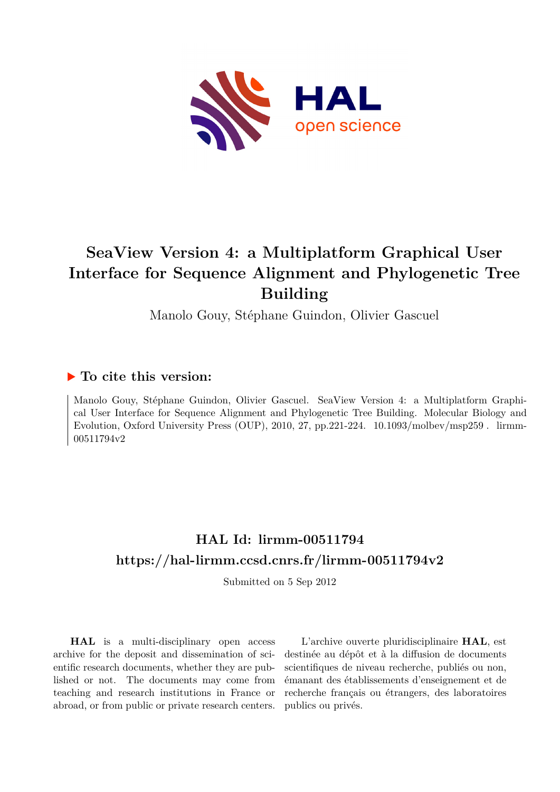

# **SeaView Version 4: a Multiplatform Graphical User Interface for Sequence Alignment and Phylogenetic Tree Building**

Manolo Gouy, Stéphane Guindon, Olivier Gascuel

### **To cite this version:**

Manolo Gouy, Stéphane Guindon, Olivier Gascuel. SeaView Version 4: a Multiplatform Graphical User Interface for Sequence Alignment and Phylogenetic Tree Building. Molecular Biology and Evolution, Oxford University Press (OUP), 2010, 27, pp.221-224.  $10.1093/molbev/msp259$ . lirmm-00511794v2

## **HAL Id: lirmm-00511794 <https://hal-lirmm.ccsd.cnrs.fr/lirmm-00511794v2>**

Submitted on 5 Sep 2012

**HAL** is a multi-disciplinary open access archive for the deposit and dissemination of scientific research documents, whether they are published or not. The documents may come from teaching and research institutions in France or abroad, or from public or private research centers.

L'archive ouverte pluridisciplinaire **HAL**, est destinée au dépôt et à la diffusion de documents scientifiques de niveau recherche, publiés ou non, émanant des établissements d'enseignement et de recherche français ou étrangers, des laboratoires publics ou privés.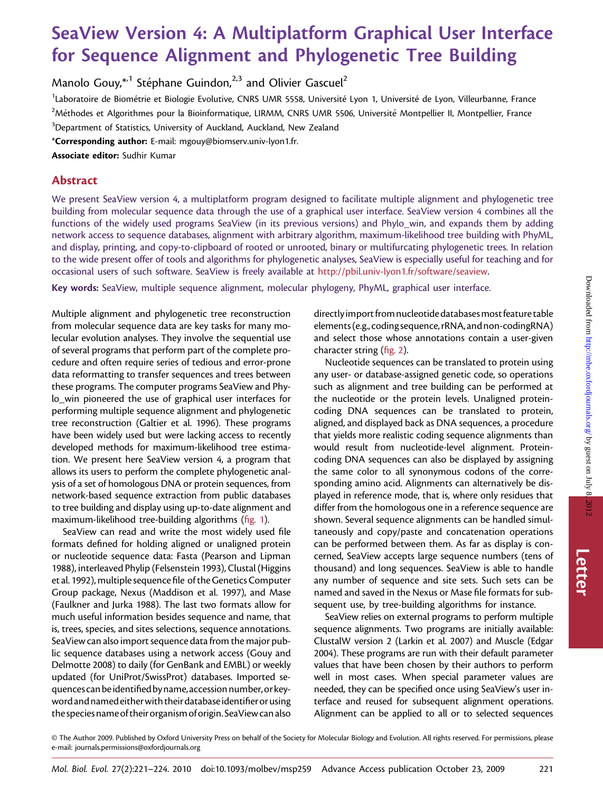# SeaView Version 4: A Multiplatform Graphical User Interface for Sequence Alignment and Phylogenetic Tree Building

Manolo Gouy, $*1$  Stéphane Guindon,<sup>2,3</sup> and Olivier Gascuel<sup>2</sup>

<sup>1</sup>Laboratoire de Biométrie et Biologie Evolutive, CNRS UMR 5558, Université Lyon 1, Université de Lyon, Villeurbanne, France <sup>2</sup>Méthodes et Algorithmes pour la Bioinformatique, LIRMM, CNRS UMR 5506, Université Montpellier II, Montpellier, France  $^3$ Department of Statistics, University of Auckland, Auckland, New Zealand

\*Corresponding author: E-mail: mgouy@biomserv.univ-lyon1.fr.

Associate editor: Sudhir Kumar

#### Abstract

We present SeaView version 4, a multiplatform program designed to facilitate multiple alignment and phylogenetic tree building from molecular sequence data through the use of a graphical user interface. SeaView version 4 combines all the functions of the widely used programs SeaView (in its previous versions) and Phylo win, and expands them by adding network access to sequence databases, alignment with arbitrary algorithm, maximum-likelihood tree building with PhyML, and display, printing, and copy-to-clipboard of rooted or unrooted, binary or multifurcating phylogenetic trees. In relation to the wide present offer of tools and algorithms for phylogenetic analyses, SeaView is especially useful for teaching and for occasional users of such software. SeaView is freely available at <http://pbil.univ-lyon1.fr/software/seaview>.

Key words: SeaView, multiple sequence alignment, molecular phylogeny, PhyML, graphical user interface.

Multiple alignment and phylogenetic tree reconstruction from molecular sequence data are key tasks for many molecular evolution analyses. They involve the sequential use of several programs that perform part of the complete procedure and often require series of tedious and error-prone data reformatting to transfer sequences and trees between these programs. The computer programs SeaView and Phylo\_win pioneered the use of graphical user interfaces for performing multiple sequence alignment and phylogenetic tree reconstruction (Galtier et al. 1996). These programs have been widely used but were lacking access to recently developed methods for maximum-likelihood tree estimation. We present here SeaView version 4, a program that allows its users to perform the complete phylogenetic analysis of a set of homologous DNA or protein sequences, from network-based sequence extraction from public databases to tree building and display using up-to-date alignment and maximum-likelihood tree-building algorithms (fig. 1).

SeaView can read and write the most widely used file formats defined for holding aligned or unaligned protein or nucleotide sequence data: Fasta (Pearson and Lipman 1988), interleaved Phylip (Felsenstein 1993), Clustal (Higgins et al. 1992), multiple sequence file of the Genetics Computer Group package, Nexus (Maddison et al. 1997), and Mase (Faulkner and Jurka 1988). The last two formats allow for much useful information besides sequence and name, that is, trees, species, and sites selections, sequence annotations. SeaView can also import sequence data from the major public sequence databases using a network access (Gouy and Delmotte 2008) to daily (for GenBank and EMBL) or weekly updated (for UniProt/SwissProt) databases. Imported sequences can beidentifiedbyname,accession number,or keyword and named either with their database identifier or using the species name of their organism of origin. SeaView can also

directly import from nucleotide databases most feature table elements (e.g., coding sequence, rRNA, andnon-codingRNA) and select those whose annotations contain a user-given character string (fig. 2).

Nucleotide sequences can be translated to protein using any user- or database-assigned genetic code, so operations such as alignment and tree building can be performed at the nucleotide or the protein levels. Unaligned proteincoding DNA sequences can be translated to protein, aligned, and displayed back as DNA sequences, a procedure that yields more realistic coding sequence alignments than would result from nucleotide-level alignment. Proteincoding DNA sequences can also be displayed by assigning the same color to all synonymous codons of the corresponding amino acid. Alignments can alternatively be displayed in reference mode, that is, where only residues that differ from the homologous one in a reference sequence are shown. Several sequence alignments can be handled simultaneously and copy/paste and concatenation operations can be performed between them. As far as display is concerned, SeaView accepts large sequence numbers (tens of thousand) and long sequences. SeaView is able to handle any number of sequence and site sets. Such sets can be named and saved in the Nexus or Mase file formats for subsequent use, by tree-building algorithms for instance.

SeaView relies on external programs to perform multiple sequence alignments. Two programs are initially available: ClustalW version 2 (Larkin et al. 2007) and Muscle (Edgar 2004). These programs are run with their default parameter values that have been chosen by their authors to perform well in most cases. When special parameter values are needed, they can be specified once using SeaView's user interface and reused for subsequent alignment operations. Alignment can be applied to all or to selected sequences Letter

<sup>©</sup> The Author 2009. Published by Oxford University Press on behalf of the Society for Molecular Biology and Evolution. All rights reserved. For permissions, please e-mail: journals.permissions@oxfordjournals.org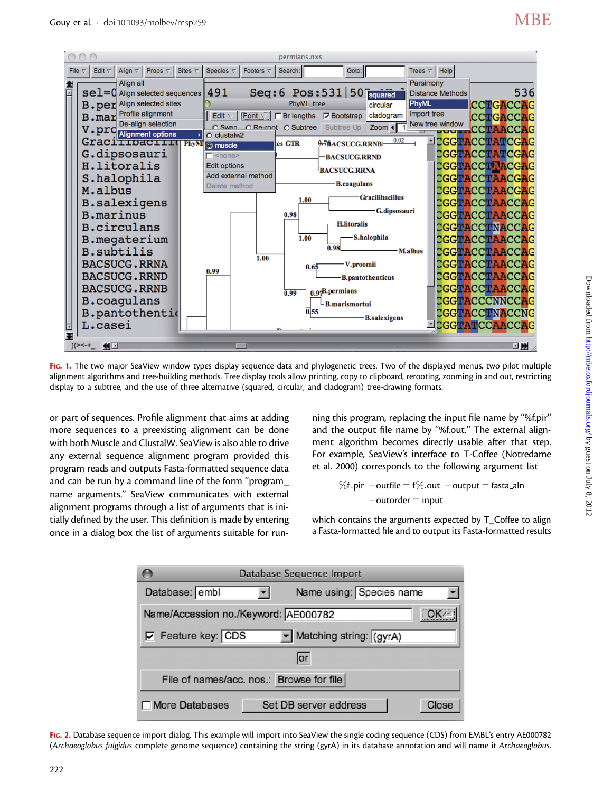



FIG. 1. The two major SeaView window types display sequence data and phylogenetic trees. Two of the displayed menus, two pilot multiple alignment algorithms and tree-building methods. Tree display tools allow printing, copy to clipboard, rerooting, zooming in and out, restricting display to a subtree, and the use of three alternative (squared, circular, and cladogram) tree-drawing formats.

or part of sequences. Profile alignment that aims at adding more sequences to a preexisting alignment can be done with both Muscle and ClustalW. SeaView is also able to drive any external sequence alignment program provided this program reads and outputs Fasta-formatted sequence data and can be run by a command line of the form ''program\_ name arguments.'' SeaView communicates with external alignment programs through a list of arguments that is initially defined by the user. This definition is made by entering once in a dialog box the list of arguments suitable for running this program, replacing the input file name by ''%f.pir'' and the output file name by ''%f.out.'' The external alignment algorithm becomes directly usable after that step. For example, SeaView's interface to T-Coffee (Notredame et al. 2000) corresponds to the following argument list

$$
\%f.pir -outfile = f\%.out -output = fasta\_aln
$$
  
-outorder = input

which contains the arguments expected by T\_Coffee to align a Fasta-formatted file and to output its Fasta-formatted results



FIG. 2. Database sequence import dialog. This example will import into SeaView the single coding sequence (CDS) from EMBL's entry AE000782 (Archaeoglobus fulgidus complete genome sequence) containing the string (gyrA) in its database annotation and will name it Archaeoglobus.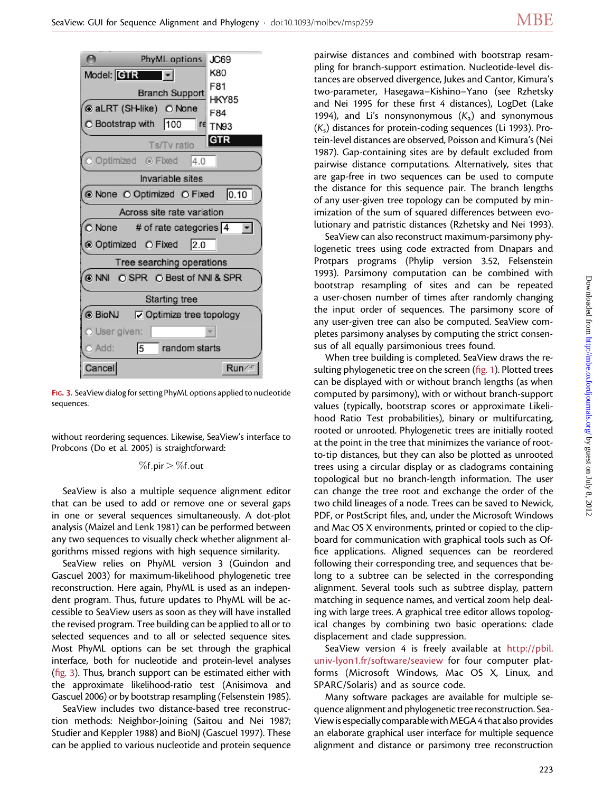

FIG. 3. SeaView dialog for setting PhyML options applied to nucleotide sequences.

without reordering sequences. Likewise, SeaView's interface to Probcons (Do et al. 2005) is straightforward:

#### $\%$ f.pir  $>$  %f.out

SeaView is also a multiple sequence alignment editor that can be used to add or remove one or several gaps in one or several sequences simultaneously. A dot-plot analysis (Maizel and Lenk 1981) can be performed between any two sequences to visually check whether alignment algorithms missed regions with high sequence similarity.

SeaView relies on PhyML version 3 (Guindon and Gascuel 2003) for maximum-likelihood phylogenetic tree reconstruction. Here again, PhyML is used as an independent program. Thus, future updates to PhyML will be accessible to SeaView users as soon as they will have installed the revised program. Tree building can be applied to all or to selected sequences and to all or selected sequence sites. Most PhyML options can be set through the graphical interface, both for nucleotide and protein-level analyses (fig. 3). Thus, branch support can be estimated either with the approximate likelihood-ratio test (Anisimova and Gascuel 2006) or by bootstrap resampling (Felsenstein 1985).

SeaView includes two distance-based tree reconstruction methods: Neighbor-Joining (Saitou and Nei 1987; Studier and Keppler 1988) and BioNJ (Gascuel 1997). These can be applied to various nucleotide and protein sequence

pairwise distances and combined with bootstrap resampling for branch-support estimation. Nucleotide-level distances are observed divergence, Jukes and Cantor, Kimura's two-parameter, Hasegawa–Kishino–Yano (see Rzhetsky and Nei 1995 for these first 4 distances), LogDet (Lake 1994), and Li's nonsynonymous  $(K_a)$  and synonymous  $(K<sub>s</sub>)$  distances for protein-coding sequences (Li 1993). Protein-level distances are observed, Poisson and Kimura's (Nei 1987). Gap-containing sites are by default excluded from pairwise distance computations. Alternatively, sites that are gap-free in two sequences can be used to compute the distance for this sequence pair. The branch lengths of any user-given tree topology can be computed by minimization of the sum of squared differences between evolutionary and patristic distances (Rzhetsky and Nei 1993).

SeaView can also reconstruct maximum-parsimony phylogenetic trees using code extracted from Dnapars and Protpars programs (Phylip version 3.52, Felsenstein 1993). Parsimony computation can be combined with bootstrap resampling of sites and can be repeated a user-chosen number of times after randomly changing the input order of sequences. The parsimony score of any user-given tree can also be computed. SeaView completes parsimony analyses by computing the strict consensus of all equally parsimonious trees found.

When tree building is completed. SeaView draws the resulting phylogenetic tree on the screen (fig. 1). Plotted trees can be displayed with or without branch lengths (as when computed by parsimony), with or without branch-support values (typically, bootstrap scores or approximate Likelihood Ratio Test probabilities), binary or multifurcating, rooted or unrooted. Phylogenetic trees are initially rooted at the point in the tree that minimizes the variance of rootto-tip distances, but they can also be plotted as unrooted trees using a circular display or as cladograms containing topological but no branch-length information. The user can change the tree root and exchange the order of the two child lineages of a node. Trees can be saved to Newick, PDF, or PostScript files, and, under the Microsoft Windows and Mac OS X environments, printed or copied to the clipboard for communication with graphical tools such as Office applications. Aligned sequences can be reordered following their corresponding tree, and sequences that belong to a subtree can be selected in the corresponding alignment. Several tools such as subtree display, pattern matching in sequence names, and vertical zoom help dealing with large trees. A graphical tree editor allows topological changes by combining two basic operations: clade displacement and clade suppression.

SeaView version 4 is freely available at [http://pbil.](http://pbil.univ-lyon1.fr/software/seaview) [univ-lyon1.fr/software/seaview](http://pbil.univ-lyon1.fr/software/seaview) for four computer platforms (Microsoft Windows, Mac OS X, Linux, and SPARC/Solaris) and as source code.

Many software packages are available for multiple sequence alignment and phylogenetic tree reconstruction. Sea-View is especially comparable with MEGA 4 that also provides an elaborate graphical user interface for multiple sequence alignment and distance or parsimony tree reconstruction